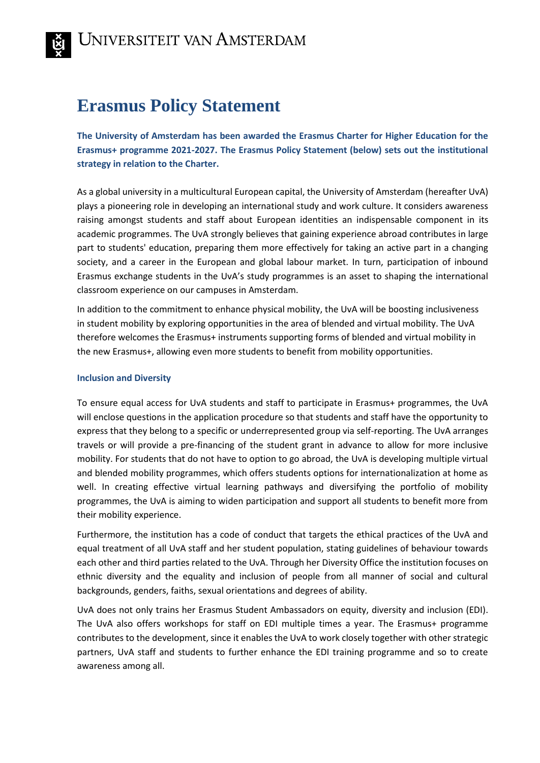# **Erasmus Policy Statement**

**The University of Amsterdam has been awarded the Erasmus Charter for Higher Education for the Erasmus+ programme 2021-2027. The Erasmus Policy Statement (below) sets out the institutional strategy in relation to the Charter.** 

As a global university in a multicultural European capital, the University of Amsterdam (hereafter UvA) plays a pioneering role in developing an international study and work culture. It considers awareness raising amongst students and staff about European identities an indispensable component in its academic programmes. The UvA strongly believes that gaining experience abroad contributes in large part to students' education, preparing them more effectively for taking an active part in a changing society, and a career in the European and global labour market. In turn, participation of inbound Erasmus exchange students in the UvA's study programmes is an asset to shaping the international classroom experience on our campuses in Amsterdam.

In addition to the commitment to enhance physical mobility, the UvA will be boosting inclusiveness in student mobility by exploring opportunities in the area of blended and virtual mobility. The UvA therefore welcomes the Erasmus+ instruments supporting forms of blended and virtual mobility in the new Erasmus+, allowing even more students to benefit from mobility opportunities.

## **Inclusion and Diversity**

To ensure equal access for UvA students and staff to participate in Erasmus+ programmes, the UvA will enclose questions in the application procedure so that students and staff have the opportunity to express that they belong to a specific or underrepresented group via self-reporting. The UvA arranges travels or will provide a pre-financing of the student grant in advance to allow for more inclusive mobility. For students that do not have to option to go abroad, the UvA is developing multiple virtual and blended mobility programmes, which offers students options for internationalization at home as well. In creating effective virtual learning pathways and diversifying the portfolio of mobility programmes, the UvA is aiming to widen participation and support all students to benefit more from their mobility experience.

Furthermore, the institution has a code of conduct that targets the ethical practices of the UvA and equal treatment of all UvA staff and her student population, stating guidelines of behaviour towards each other and third parties related to the UvA. Through her Diversity Office the institution focuses on ethnic diversity and the equality and inclusion of people from all manner of social and cultural backgrounds, genders, faiths, sexual orientations and degrees of ability.

UvA does not only trains her Erasmus Student Ambassadors on equity, diversity and inclusion (EDI). The UvA also offers workshops for staff on EDI multiple times a year. The Erasmus+ programme contributes to the development, since it enables the UvA to work closely together with other strategic partners, UvA staff and students to further enhance the EDI training programme and so to create awareness among all.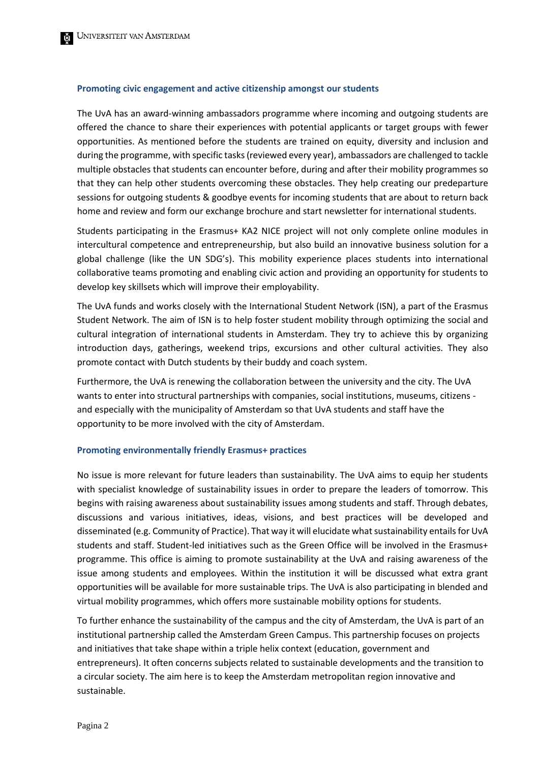#### **Promoting civic engagement and active citizenship amongst our students**

The UvA has an award-winning ambassadors programme where incoming and outgoing students are offered the chance to share their experiences with potential applicants or target groups with fewer opportunities. As mentioned before the students are trained on equity, diversity and inclusion and during the programme, with specific tasks (reviewed every year), ambassadors are challenged to tackle multiple obstacles that students can encounter before, during and after their mobility programmes so that they can help other students overcoming these obstacles. They help creating our predeparture sessions for outgoing students & goodbye events for incoming students that are about to return back home and review and form our exchange brochure and start newsletter for international students.

Students participating in the Erasmus+ KA2 NICE project will not only complete online modules in intercultural competence and entrepreneurship, but also build an innovative business solution for a global challenge (like the UN SDG's). This mobility experience places students into international collaborative teams promoting and enabling civic action and providing an opportunity for students to develop key skillsets which will improve their employability.

The UvA funds and works closely with the International Student Network (ISN), a part of the Erasmus Student Network. The aim of ISN is to help foster student mobility through optimizing the social and cultural integration of international students in Amsterdam. They try to achieve this by organizing introduction days, gatherings, weekend trips, excursions and other cultural activities. They also promote contact with Dutch students by their buddy and coach system.

Furthermore, the UvA is renewing the collaboration between the university and the city. The UvA wants to enter into structural partnerships with companies, social institutions, museums, citizens and especially with the municipality of Amsterdam so that UvA students and staff have the opportunity to be more involved with the city of Amsterdam.

#### **Promoting environmentally friendly Erasmus+ practices**

No issue is more relevant for future leaders than sustainability. The UvA aims to equip her students with specialist knowledge of sustainability issues in order to prepare the leaders of tomorrow. This begins with raising awareness about sustainability issues among students and staff. Through debates, discussions and various initiatives, ideas, visions, and best practices will be developed and disseminated (e.g. Community of Practice). That way it will elucidate what sustainability entails for UvA students and staff. Student-led initiatives such as the Green Office will be involved in the Erasmus+ programme. This office is aiming to promote sustainability at the UvA and raising awareness of the issue among students and employees. Within the institution it will be discussed what extra grant opportunities will be available for more sustainable trips. The UvA is also participating in blended and virtual mobility programmes, which offers more sustainable mobility options for students.

To further enhance the sustainability of the campus and the city of Amsterdam, the UvA is part of an institutional partnership called the Amsterdam Green Campus. This partnership focuses on projects and initiatives that take shape within a triple helix context (education, government and entrepreneurs). It often concerns subjects related to sustainable developments and the transition to a circular society. The aim here is to keep the Amsterdam metropolitan region innovative and sustainable.